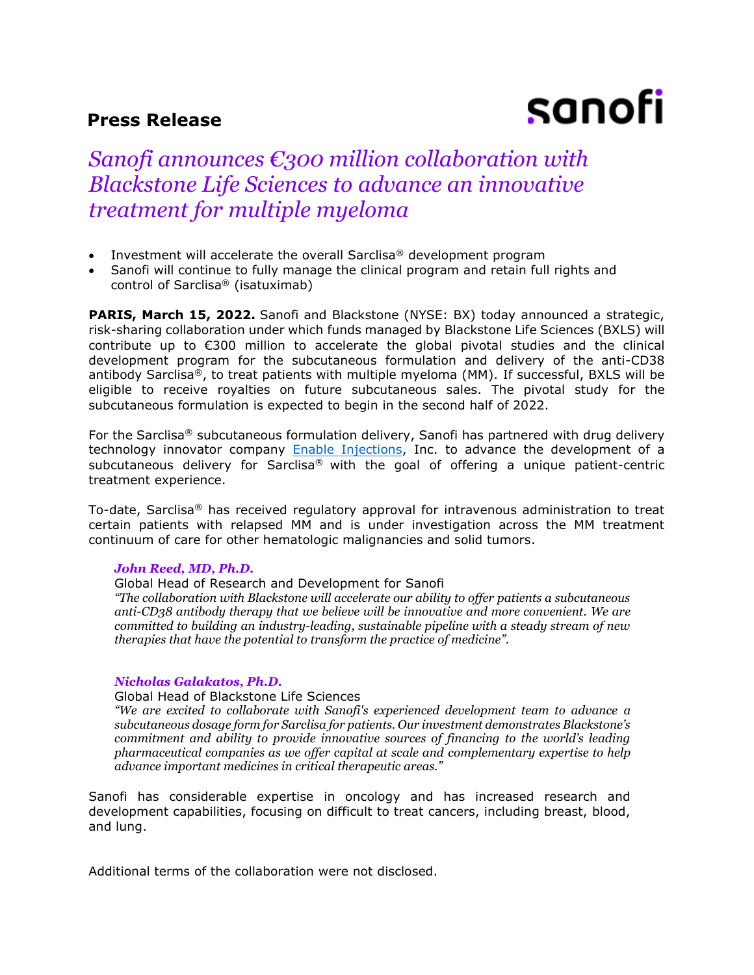# **Press Release**

# sanofi

# *Sanofi announces €300 million collaboration with Blackstone Life Sciences to advance an innovative treatment for multiple myeloma*

- Investment will accelerate the overall Sarclisa<sup>®</sup> development program
- Sanofi will continue to fully manage the clinical program and retain full rights and control of Sarclisa® (isatuximab)

**PARIS, March 15, 2022.** Sanofi and Blackstone (NYSE: BX) today announced a strategic, risk-sharing collaboration under which funds managed by Blackstone Life Sciences (BXLS) will contribute up to €300 million to accelerate the global pivotal studies and the clinical development program for the subcutaneous formulation and delivery of the anti-CD38 antibody Sarclisa®, to treat patients with multiple myeloma (MM). If successful, BXLS will be eligible to receive royalties on future subcutaneous sales. The pivotal study for the subcutaneous formulation is expected to begin in the second half of 2022.

For the Sarclisa<sup>®</sup> subcutaneous formulation delivery, Sanofi has partnered with drug delivery technology innovator company **Enable Injections**, Inc. to advance the development of a subcutaneous delivery for Sarclisa<sup>®</sup> with the goal of offering a unique patient-centric treatment experience.

To-date, Sarclisa® has received regulatory approval for intravenous administration to treat certain patients with relapsed MM and is under investigation across the MM treatment continuum of care for other hematologic malignancies and solid tumors.

# *John Reed, MD, Ph.D.*

Global Head of Research and Development for Sanofi

*"The collaboration with Blackstone will accelerate our ability to offer patients a subcutaneous anti-CD38 antibody therapy that we believe will be innovative and more convenient. We are committed to building an industry-leading, sustainable pipeline with a steady stream of new therapies that have the potential to transform the practice of medicine".*

#### *Nicholas Galakatos, Ph.D.*

Global Head of Blackstone Life Sciences

*"We are excited to collaborate with Sanofi's experienced development team to advance a subcutaneous dosage form for Sarclisa for patients. Our investment demonstrates Blackstone's commitment and ability to provide innovative sources of financing to the world's leading pharmaceutical companies as we offer capital at scale and complementary expertise to help advance important medicines in critical therapeutic areas."*

Sanofi has considerable expertise in oncology and has increased research and development capabilities, focusing on difficult to treat cancers, including breast, blood, and lung.

Additional terms of the collaboration were not disclosed.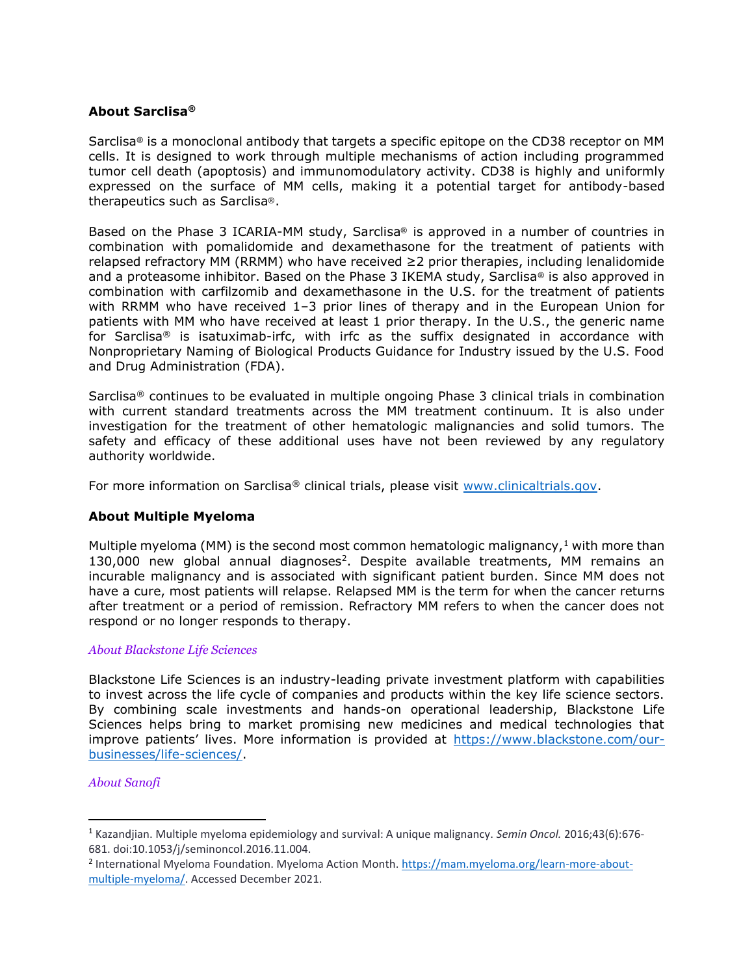# **About Sarclisa®**

Sarclisa® is a monoclonal antibody that targets a specific epitope on the CD38 receptor on MM cells. It is designed to work through multiple mechanisms of action including programmed tumor cell death (apoptosis) and immunomodulatory activity. CD38 is highly and uniformly expressed on the surface of MM cells, making it a potential target for antibody-based therapeutics such as Sarclisa®.

Based on the Phase 3 ICARIA-MM study, Sarclisa® is approved in a number of countries in combination with pomalidomide and dexamethasone for the treatment of patients with relapsed refractory MM (RRMM) who have received ≥2 prior therapies, including lenalidomide and a proteasome inhibitor. Based on the Phase 3 IKEMA study, Sarclisa<sup>®</sup> is also approved in combination with carfilzomib and dexamethasone in the U.S. for the treatment of patients with RRMM who have received 1-3 prior lines of therapy and in the European Union for patients with MM who have received at least 1 prior therapy. In the U.S., the generic name for Sarclisa® is isatuximab-irfc, with irfc as the suffix designated in accordance with Nonproprietary Naming of Biological Products Guidance for Industry issued by the U.S. Food and Drug Administration (FDA).

Sarclisa® continues to be evaluated in multiple ongoing Phase 3 clinical trials in combination with current standard treatments across the MM treatment continuum. It is also under investigation for the treatment of other hematologic malignancies and solid tumors. The safety and efficacy of these additional uses have not been reviewed by any regulatory authority worldwide.

For more information on Sarclisa® clinical trials, please visit [www.clinicaltrials.gov.](http://www.clinicaltrials.gov/)

# **About Multiple Myeloma**

Multiple myeloma (MM) is the second most common hematologic malignancy,  $1$  with more than 130,000 new global annual diagnoses<sup>2</sup>. Despite available treatments, MM remains an incurable malignancy and is associated with significant patient burden. Since MM does not have a cure, most patients will relapse. Relapsed MM is the term for when the cancer returns after treatment or a period of remission. Refractory MM refers to when the cancer does not respond or no longer responds to therapy.

# *About Blackstone Life Sciences*

Blackstone Life Sciences is an industry-leading private investment platform with capabilities to invest across the life cycle of companies and products within the key life science sectors. By combining scale investments and hands-on operational leadership, Blackstone Life Sciences helps bring to market promising new medicines and medical technologies that improve patients' lives. More information is provided at [https://www.blackstone.com/our](https://www.blackstone.com/our-businesses/life-sciences/)[businesses/life-sciences/.](https://www.blackstone.com/our-businesses/life-sciences/)

# *About Sanofi*

<sup>1</sup> Kazandjian. Multiple myeloma epidemiology and survival: A unique malignancy. *Semin Oncol.* 2016;43(6):676- 681. doi:10.1053/j/seminoncol.2016.11.004.

<sup>&</sup>lt;sup>2</sup> International Myeloma Foundation. Myeloma Action Month. [https://mam.myeloma.org/learn-more-about](https://mam.myeloma.org/learn-more-about-multiple-myeloma/)[multiple-myeloma/.](https://mam.myeloma.org/learn-more-about-multiple-myeloma/) Accessed December 2021.